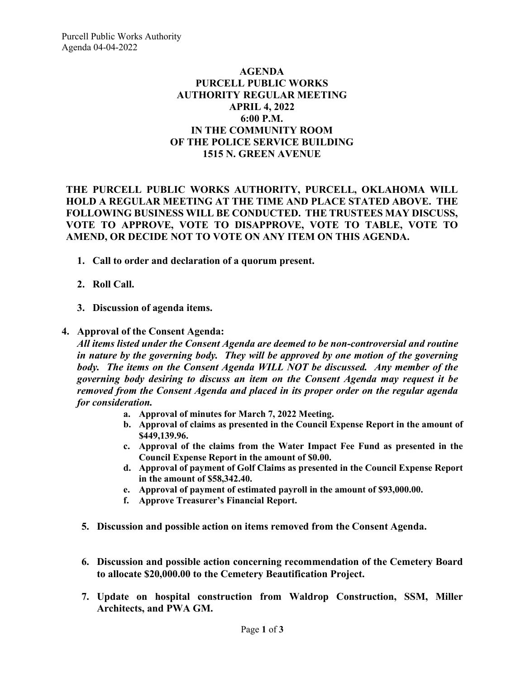## **AGENDA PURCELL PUBLIC WORKS AUTHORITY REGULAR MEETING APRIL 4, 2022 6:00 P.M. IN THE COMMUNITY ROOM OF THE POLICE SERVICE BUILDING 1515 N. GREEN AVENUE**

**THE PURCELL PUBLIC WORKS AUTHORITY, PURCELL, OKLAHOMA WILL HOLD A REGULAR MEETING AT THE TIME AND PLACE STATED ABOVE. THE FOLLOWING BUSINESS WILL BE CONDUCTED. THE TRUSTEES MAY DISCUSS, VOTE TO APPROVE, VOTE TO DISAPPROVE, VOTE TO TABLE, VOTE TO AMEND, OR DECIDE NOT TO VOTE ON ANY ITEM ON THIS AGENDA.**

- **1. Call to order and declaration of a quorum present.**
- **2. Roll Call.**
- **3. Discussion of agenda items.**

## **4. Approval of the Consent Agenda:**

*All items listed under the Consent Agenda are deemed to be non-controversial and routine in nature by the governing body. They will be approved by one motion of the governing body. The items on the Consent Agenda WILL NOT be discussed. Any member of the governing body desiring to discuss an item on the Consent Agenda may request it be removed from the Consent Agenda and placed in its proper order on the regular agenda for consideration.*

- **a. Approval of minutes for March 7, 2022 Meeting.**
- **b. Approval of claims as presented in the Council Expense Report in the amount of \$449,139.96.**
- **c. Approval of the claims from the Water Impact Fee Fund as presented in the Council Expense Report in the amount of \$0.00.**
- **d. Approval of payment of Golf Claims as presented in the Council Expense Report in the amount of \$58,342.40.**
- **e. Approval of payment of estimated payroll in the amount of \$93,000.00.**
- **f. Approve Treasurer's Financial Report.**
- **5. Discussion and possible action on items removed from the Consent Agenda.**
- **6. Discussion and possible action concerning recommendation of the Cemetery Board to allocate \$20,000.00 to the Cemetery Beautification Project.**
- **7. Update on hospital construction from Waldrop Construction, SSM, Miller Architects, and PWA GM.**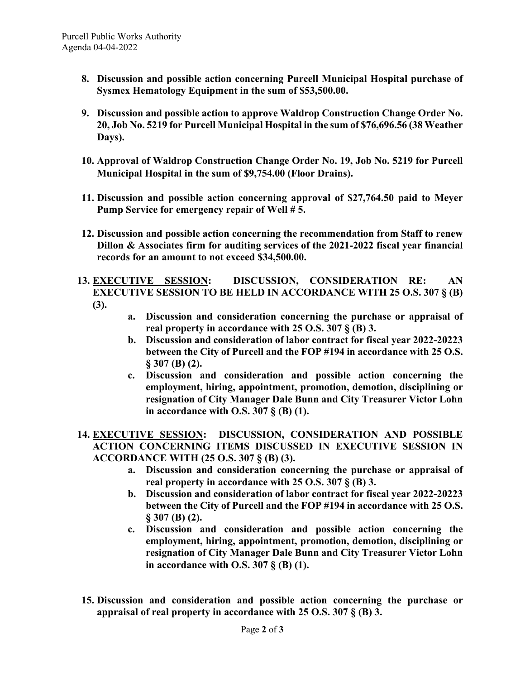- **8. Discussion and possible action concerning Purcell Municipal Hospital purchase of Sysmex Hematology Equipment in the sum of \$53,500.00.**
- **9. Discussion and possible action to approve Waldrop Construction Change Order No. 20, Job No. 5219 for Purcell Municipal Hospital in the sum of \$76,696.56 (38 Weather Days).**
- **10. Approval of Waldrop Construction Change Order No. 19, Job No. 5219 for Purcell Municipal Hospital in the sum of \$9,754.00 (Floor Drains).**
- **11. Discussion and possible action concerning approval of \$27,764.50 paid to Meyer Pump Service for emergency repair of Well # 5.**
- **12. Discussion and possible action concerning the recommendation from Staff to renew Dillon & Associates firm for auditing services of the 2021-2022 fiscal year financial records for an amount to not exceed \$34,500.00.**
- **13. EXECUTIVE SESSION: DISCUSSION, CONSIDERATION RE: AN EXECUTIVE SESSION TO BE HELD IN ACCORDANCE WITH 25 O.S. 307 § (B) (3).**
	- **a. Discussion and consideration concerning the purchase or appraisal of real property in accordance with 25 O.S. 307 § (B) 3.**
	- **b. Discussion and consideration of labor contract for fiscal year 2022-20223 between the City of Purcell and the FOP #194 in accordance with 25 O.S. § 307 (B) (2).**
	- **c. Discussion and consideration and possible action concerning the employment, hiring, appointment, promotion, demotion, disciplining or resignation of City Manager Dale Bunn and City Treasurer Victor Lohn in accordance with O.S. 307 § (B) (1).**
- **14. EXECUTIVE SESSION: DISCUSSION, CONSIDERATION AND POSSIBLE ACTION CONCERNING ITEMS DISCUSSED IN EXECUTIVE SESSION IN ACCORDANCE WITH (25 O.S. 307 § (B) (3).**
	- **a. Discussion and consideration concerning the purchase or appraisal of real property in accordance with 25 O.S. 307 § (B) 3.**
	- **b. Discussion and consideration of labor contract for fiscal year 2022-20223 between the City of Purcell and the FOP #194 in accordance with 25 O.S. § 307 (B) (2).**
	- **c. Discussion and consideration and possible action concerning the employment, hiring, appointment, promotion, demotion, disciplining or resignation of City Manager Dale Bunn and City Treasurer Victor Lohn in accordance with O.S. 307 § (B) (1).**
- **15. Discussion and consideration and possible action concerning the purchase or appraisal of real property in accordance with 25 O.S. 307 § (B) 3.**